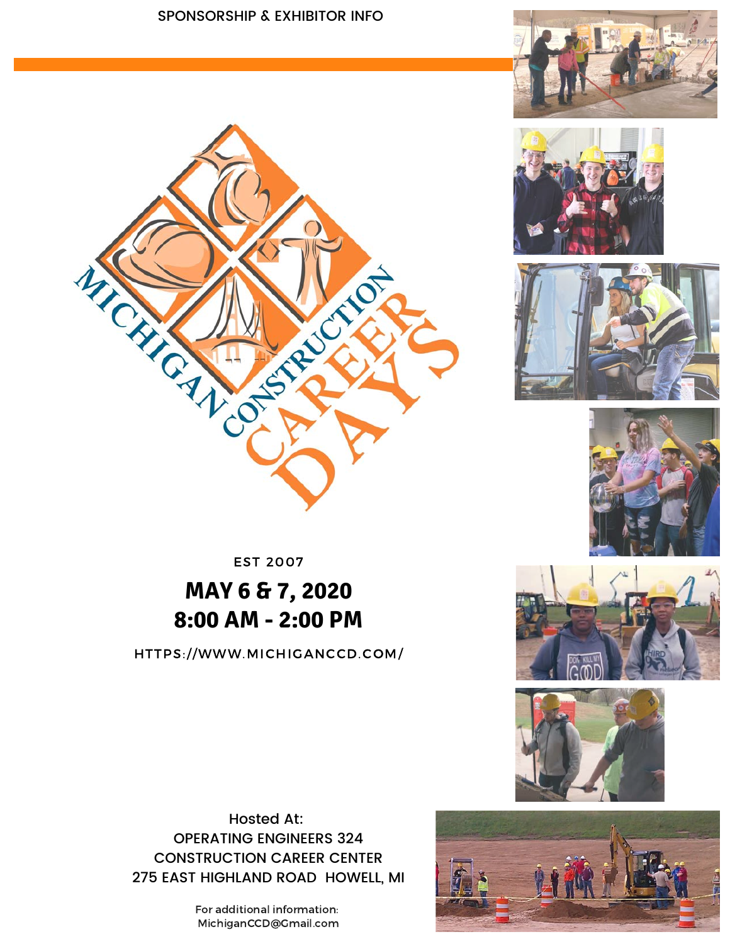#### SPONSORSHIP & EXHIBITOR INFO











EST 2007

## **MAY 6 & 7, 2020 8:00 AM - 2:00 PM**

HTTPS://WWW.MICHIGANCCD.COM/





Hosted At: OPERATING ENGINEERS 324 CONSTRUCTION CAREER CENTER 275 EAST HIGHLAND ROAD HOWELL, MI

> For additional information: MichiganCCD@Gmail.com

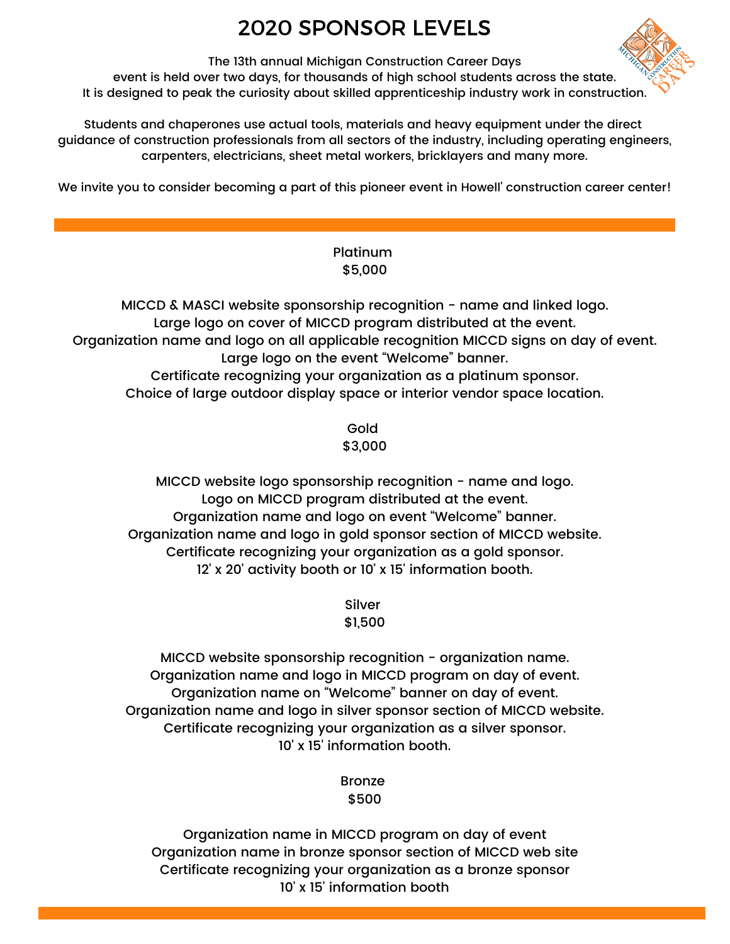## 2020 SPONSOR LEVELS



The 13th annual Michigan Construction Career Days event is held over two days, for thousands of high school students across the state. It is designed to peak the curiosity about skilled apprenticeship industry work in construction.

Students and chaperones use actual tools, materials and heavy equipment under the direct guidance of construction professionals from all sectors of the industry, including operating engineers, carpenters, electricians, sheet metal workers, bricklayers and many more.

We invite you to consider becoming a part of this pioneer event in Howell' construction career center!

#### Platinum \$5,000

MICCD & MASCI website sponsorship recognition - name and linked logo. Large logo on cover of MICCD program distributed at the event. Organization name and logo on all applicable recognition MICCD signs on day of event. Large logo on the event "Welcome" banner. Certificate recognizing your organization as a platinum sponsor. Choice of large outdoor display space or interior vendor space location.

> Gold \$3,000

MICCD website logo sponsorship recognition - name and logo. Logo on MICCD program distributed at the event. Organization name and logo on event "Welcome" banner. Organization name and logo in gold sponsor section of MICCD website. Certificate recognizing your organization as a gold sponsor. 12' x 20' activity booth or 10' x 15' information booth.

> Silver \$1,500

MICCD website sponsorship recognition - organization name. Organization name and logo in MICCD program on day of event. Organization name on "Welcome" banner on day of event. Organization name and logo in silver sponsor section of MICCD website. Certificate recognizing your organization as a silver sponsor. 10' x 15' information booth.

> Bronze \$500

Organization name in MICCD program on day of event Organization name in bronze sponsor section of MICCD web site Certificate recognizing your organization as a bronze sponsor 10' x 15' information booth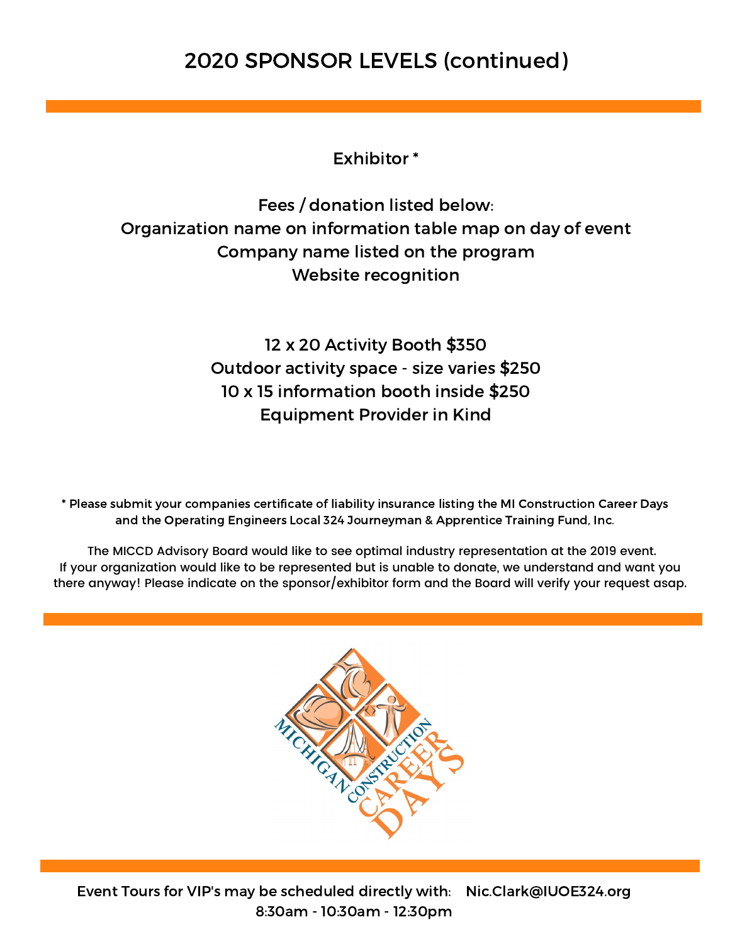### 2020 SPONSOR LEVELS (continued)

Exhibitor \*

Fees / donation listed below: Organization name on information table map on day of event Company name listed on the program Website recognition

> 12 x 20 Activity Booth \$350 Outdoor activity space - size varies \$250 10 x 15 information booth inside \$250 Equipment Provider in Kind

 \* Please submit your companies certificate of liability insurance listing the MI Construction Career Days and the Operating Engineers Local 324 Journeyman & Apprentice Training Fund, Inc.

 The MICCD Advisory Board would like to see optimal industry representation at the 2019 event. If your organization would like to be represented but is unable to donate, we understand and want you there anyway! Please indicate on the sponsor/exhibitor form and the Board will verify your request asap.